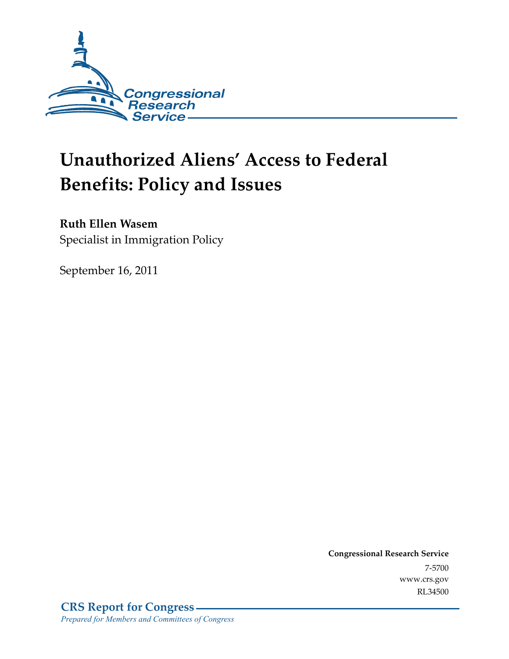

# **Unauthorized Aliens' Access to Federal Benefits: Policy and Issues**

## **Ruth Ellen Wasem**

Specialist in Immigration Policy

September 16, 2011

**Congressional Research Service**  7-5700 www.crs.gov RL34500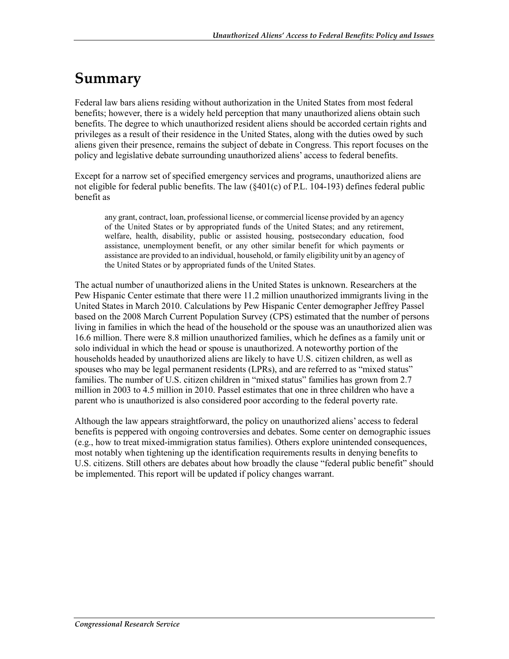## **Summary**

Federal law bars aliens residing without authorization in the United States from most federal benefits; however, there is a widely held perception that many unauthorized aliens obtain such benefits. The degree to which unauthorized resident aliens should be accorded certain rights and privileges as a result of their residence in the United States, along with the duties owed by such aliens given their presence, remains the subject of debate in Congress. This report focuses on the policy and legislative debate surrounding unauthorized aliens' access to federal benefits.

Except for a narrow set of specified emergency services and programs, unauthorized aliens are not eligible for federal public benefits. The law (§401(c) of P.L. 104-193) defines federal public benefit as

any grant, contract, loan, professional license, or commercial license provided by an agency of the United States or by appropriated funds of the United States; and any retirement, welfare, health, disability, public or assisted housing, postsecondary education, food assistance, unemployment benefit, or any other similar benefit for which payments or assistance are provided to an individual, household, or family eligibility unit by an agency of the United States or by appropriated funds of the United States.

The actual number of unauthorized aliens in the United States is unknown. Researchers at the Pew Hispanic Center estimate that there were 11.2 million unauthorized immigrants living in the United States in March 2010. Calculations by Pew Hispanic Center demographer Jeffrey Passel based on the 2008 March Current Population Survey (CPS) estimated that the number of persons living in families in which the head of the household or the spouse was an unauthorized alien was 16.6 million. There were 8.8 million unauthorized families, which he defines as a family unit or solo individual in which the head or spouse is unauthorized. A noteworthy portion of the households headed by unauthorized aliens are likely to have U.S. citizen children, as well as spouses who may be legal permanent residents (LPRs), and are referred to as "mixed status" families. The number of U.S. citizen children in "mixed status" families has grown from 2.7 million in 2003 to 4.5 million in 2010. Passel estimates that one in three children who have a parent who is unauthorized is also considered poor according to the federal poverty rate.

Although the law appears straightforward, the policy on unauthorized aliens' access to federal benefits is peppered with ongoing controversies and debates. Some center on demographic issues (e.g., how to treat mixed-immigration status families). Others explore unintended consequences, most notably when tightening up the identification requirements results in denying benefits to U.S. citizens. Still others are debates about how broadly the clause "federal public benefit" should be implemented. This report will be updated if policy changes warrant.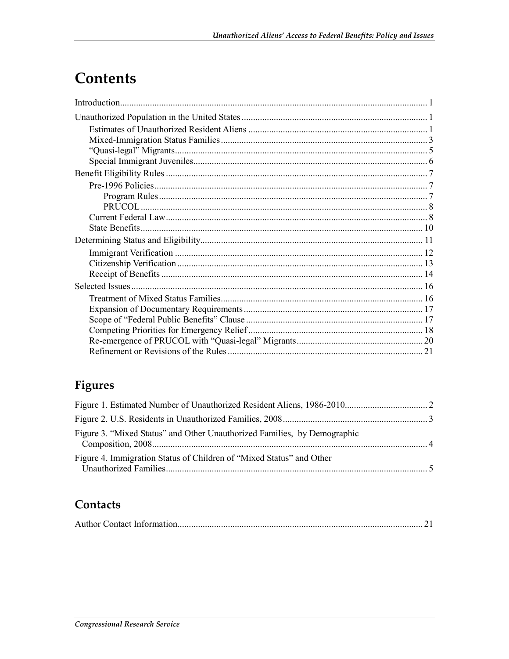## Contents

## Figures

| Figure 3. "Mixed Status" and Other Unauthorized Families, by Demographic |  |
|--------------------------------------------------------------------------|--|
| Figure 4. Immigration Status of Children of "Mixed Status" and Other     |  |

## Contacts

|--|--|--|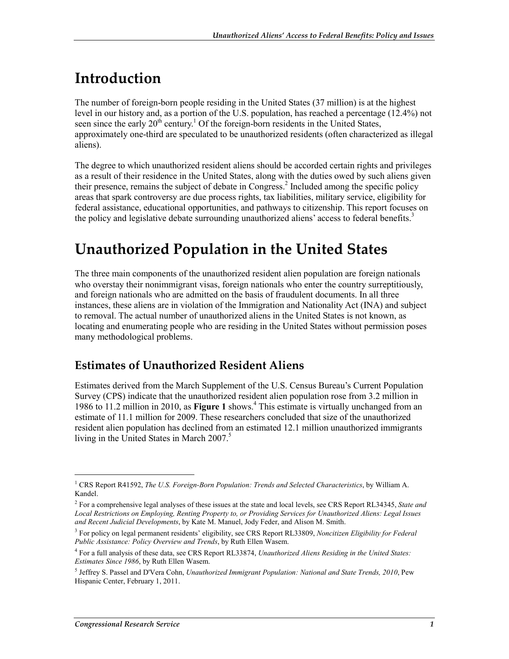## **Introduction**

The number of foreign-born people residing in the United States (37 million) is at the highest level in our history and, as a portion of the U.S. population, has reached a percentage (12.4%) not seen since the early  $20<sup>th</sup>$  century.<sup>1</sup> Of the foreign-born residents in the United States, approximately one-third are speculated to be unauthorized residents (often characterized as illegal aliens).

The degree to which unauthorized resident aliens should be accorded certain rights and privileges as a result of their residence in the United States, along with the duties owed by such aliens given their presence, remains the subject of debate in Congress.<sup>2</sup> Included among the specific policy areas that spark controversy are due process rights, tax liabilities, military service, eligibility for federal assistance, educational opportunities, and pathways to citizenship. This report focuses on the policy and legislative debate surrounding unauthorized aliens' access to federal benefits.<sup>3</sup>

## **Unauthorized Population in the United States**

The three main components of the unauthorized resident alien population are foreign nationals who overstay their nonimmigrant visas, foreign nationals who enter the country surreptitiously, and foreign nationals who are admitted on the basis of fraudulent documents. In all three instances, these aliens are in violation of the Immigration and Nationality Act (INA) and subject to removal. The actual number of unauthorized aliens in the United States is not known, as locating and enumerating people who are residing in the United States without permission poses many methodological problems.

### **Estimates of Unauthorized Resident Aliens**

Estimates derived from the March Supplement of the U.S. Census Bureau's Current Population Survey (CPS) indicate that the unauthorized resident alien population rose from 3.2 million in 1986 to 11.2 million in 2010, as **Figure 1** shows.<sup>4</sup> This estimate is virtually unchanged from an estimate of 11.1 million for 2009. These researchers concluded that size of the unauthorized resident alien population has declined from an estimated 12.1 million unauthorized immigrants living in the United States in March 2007.<sup>5</sup>

<sup>&</sup>lt;sup>1</sup> CRS Report R41592, *The U.S. Foreign-Born Population: Trends and Selected Characteristics*, by William A. Kandel.

<sup>2</sup> For a comprehensive legal analyses of these issues at the state and local levels, see CRS Report RL34345, *State and Local Restrictions on Employing, Renting Property to, or Providing Services for Unauthorized Aliens: Legal Issues and Recent Judicial Developments*, by Kate M. Manuel, Jody Feder, and Alison M. Smith.

<sup>3</sup> For policy on legal permanent residents' eligibility, see CRS Report RL33809, *Noncitizen Eligibility for Federal Public Assistance: Policy Overview and Trends*, by Ruth Ellen Wasem.

<sup>4</sup> For a full analysis of these data, see CRS Report RL33874, *Unauthorized Aliens Residing in the United States: Estimates Since 1986*, by Ruth Ellen Wasem.

<sup>5</sup> Jeffrey S. Passel and D'Vera Cohn, *Unauthorized Immigrant Population: National and State Trends, 2010*, Pew Hispanic Center, February 1, 2011.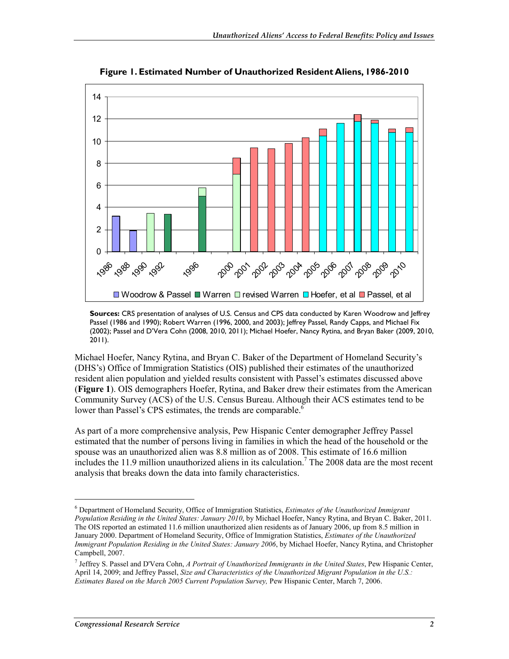

**Figure 1. Estimated Number of Unauthorized Resident Aliens, 1986-2010** 

**Sources:** CRS presentation of analyses of U.S. Census and CPS data conducted by Karen Woodrow and Jeffrey Passel (1986 and 1990); Robert Warren (1996, 2000, and 2003); Jeffrey Passel, Randy Capps, and Michael Fix (2002); Passel and D'Vera Cohn (2008, 2010, 2011); Michael Hoefer, Nancy Rytina, and Bryan Baker (2009, 2010, 2011).

Michael Hoefer, Nancy Rytina, and Bryan C. Baker of the Department of Homeland Security's (DHS's) Office of Immigration Statistics (OIS) published their estimates of the unauthorized resident alien population and yielded results consistent with Passel's estimates discussed above (**Figure 1**). OIS demographers Hoefer, Rytina, and Baker drew their estimates from the American Community Survey (ACS) of the U.S. Census Bureau. Although their ACS estimates tend to be lower than Passel's CPS estimates, the trends are comparable.<sup>6</sup>

As part of a more comprehensive analysis, Pew Hispanic Center demographer Jeffrey Passel estimated that the number of persons living in families in which the head of the household or the spouse was an unauthorized alien was 8.8 million as of 2008. This estimate of 16.6 million includes the 11.9 million unauthorized aliens in its calculation.<sup>7</sup> The 2008 data are the most recent analysis that breaks down the data into family characteristics.

<sup>6</sup> Department of Homeland Security, Office of Immigration Statistics, *Estimates of the Unauthorized Immigrant Population Residing in the United States: January 2010*, by Michael Hoefer, Nancy Rytina, and Bryan C. Baker, 2011. The OIS reported an estimated 11.6 million unauthorized alien residents as of January 2006, up from 8.5 million in January 2000. Department of Homeland Security, Office of Immigration Statistics, *Estimates of the Unauthorized Immigrant Population Residing in the United States: January 2006*, by Michael Hoefer, Nancy Rytina, and Christopher Campbell, 2007.

<sup>7</sup> Jeffrey S. Passel and D'Vera Cohn, *A Portrait of Unauthorized Immigrants in the United States*, Pew Hispanic Center, April 14, 2009; and Jeffrey Passel, *Size and Characteristics of the Unauthorized Migrant Population in the U.S.: Estimates Based on the March 2005 Current Population Survey,* Pew Hispanic Center, March 7, 2006.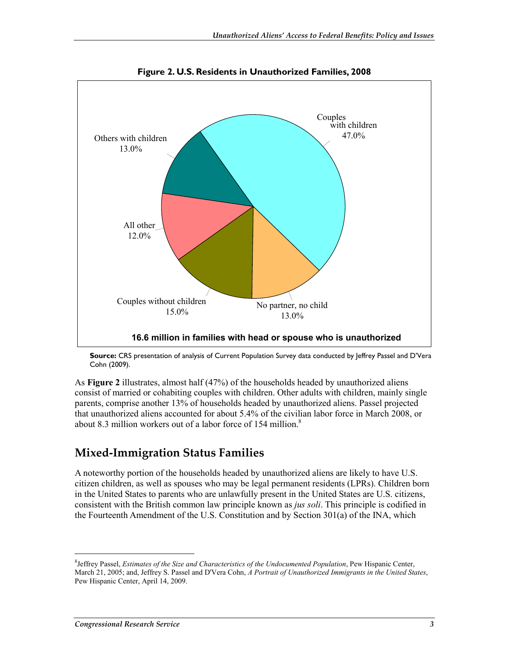

**Figure 2. U.S. Residents in Unauthorized Families, 2008** 

**Source:** CRS presentation of analysis of Current Population Survey data conducted by Jeffrey Passel and D'Vera Cohn (2009).

As **Figure 2** illustrates, almost half (47%) of the households headed by unauthorized aliens consist of married or cohabiting couples with children. Other adults with children, mainly single parents, comprise another 13% of households headed by unauthorized aliens. Passel projected that unauthorized aliens accounted for about 5.4% of the civilian labor force in March 2008, or about 8.3 million workers out of a labor force of 154 million. $\delta$ 

#### **Mixed-Immigration Status Families**

A noteworthy portion of the households headed by unauthorized aliens are likely to have U.S. citizen children, as well as spouses who may be legal permanent residents (LPRs). Children born in the United States to parents who are unlawfully present in the United States are U.S. citizens, consistent with the British common law principle known as *jus soli*. This principle is codified in the Fourteenth Amendment of the U.S. Constitution and by Section 301(a) of the INA, which

<sup>8</sup> Jeffrey Passel, *Estimates of the Size and Characteristics of the Undocumented Population*, Pew Hispanic Center, March 21, 2005; and, Jeffrey S. Passel and D'Vera Cohn, *A Portrait of Unauthorized Immigrants in the United States*, Pew Hispanic Center, April 14, 2009.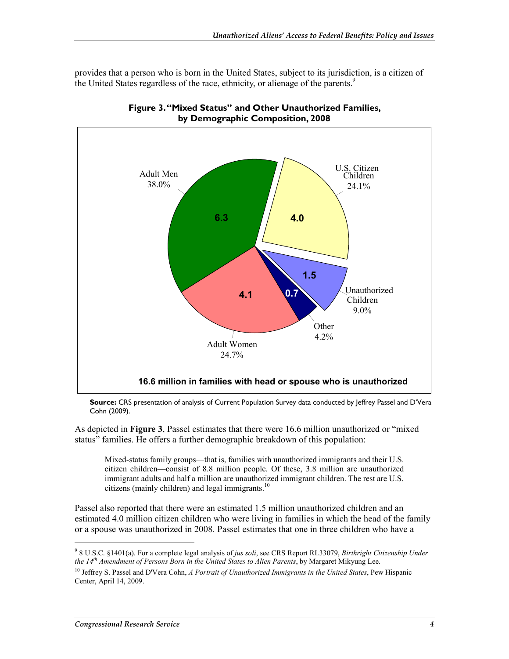provides that a person who is born in the United States, subject to its jurisdiction, is a citizen of the United States regardless of the race, ethnicity, or alienage of the parents.<sup>9</sup>





**Source:** CRS presentation of analysis of Current Population Survey data conducted by Jeffrey Passel and D'Vera Cohn (2009).

As depicted in **Figure 3**, Passel estimates that there were 16.6 million unauthorized or "mixed status" families. He offers a further demographic breakdown of this population:

Mixed-status family groups—that is, families with unauthorized immigrants and their U.S. citizen children—consist of 8.8 million people. Of these, 3.8 million are unauthorized immigrant adults and half a million are unauthorized immigrant children. The rest are U.S. citizens (mainly children) and legal immigrants.<sup>10</sup>

Passel also reported that there were an estimated 1.5 million unauthorized children and an estimated 4.0 million citizen children who were living in families in which the head of the family or a spouse was unauthorized in 2008. Passel estimates that one in three children who have a

<sup>9</sup> 8 U.S.C. §1401(a). For a complete legal analysis of *jus soli*, see CRS Report RL33079, *Birthright Citizenship Under the 14th Amendment of Persons Born in the United States to Alien Parents*, by Margaret Mikyung Lee.

<sup>10</sup> Jeffrey S. Passel and D'Vera Cohn, *A Portrait of Unauthorized Immigrants in the United States*, Pew Hispanic Center, April 14, 2009.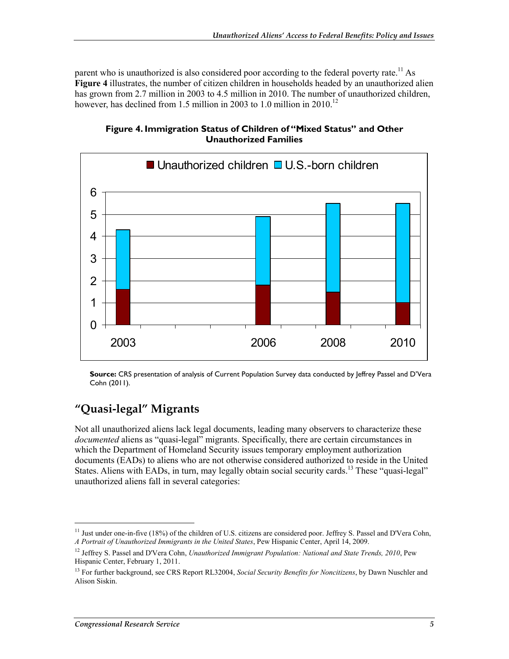parent who is unauthorized is also considered poor according to the federal poverty rate.<sup>11</sup> As **Figure 4** illustrates, the number of citizen children in households headed by an unauthorized alien has grown from 2.7 million in 2003 to 4.5 million in 2010. The number of unauthorized children, however, has declined from 1.5 million in 2003 to 1.0 million in 2010.<sup>12</sup>



**Figure 4. Immigration Status of Children of "Mixed Status" and Other Unauthorized Families** 

**Source:** CRS presentation of analysis of Current Population Survey data conducted by Jeffrey Passel and D'Vera Cohn (2011).

## **"Quasi-legal" Migrants**

Not all unauthorized aliens lack legal documents, leading many observers to characterize these *documented* aliens as "quasi-legal" migrants. Specifically, there are certain circumstances in which the Department of Homeland Security issues temporary employment authorization documents (EADs) to aliens who are not otherwise considered authorized to reside in the United States. Aliens with EADs, in turn, may legally obtain social security cards.<sup>13</sup> These "quasi-legal" unauthorized aliens fall in several categories:

<sup>&</sup>lt;sup>11</sup> Just under one-in-five (18%) of the children of U.S. citizens are considered poor. Jeffrey S. Passel and D'Vera Cohn, *A Portrait of Unauthorized Immigrants in the United States*, Pew Hispanic Center, April 14, 2009.

<sup>&</sup>lt;sup>12</sup> Jeffrey S. Passel and D'Vera Cohn, *Unauthorized Immigrant Population: National and State Trends, 2010*, Pew Hispanic Center, February 1, 2011.

<sup>13</sup> For further background, see CRS Report RL32004, *Social Security Benefits for Noncitizens*, by Dawn Nuschler and Alison Siskin.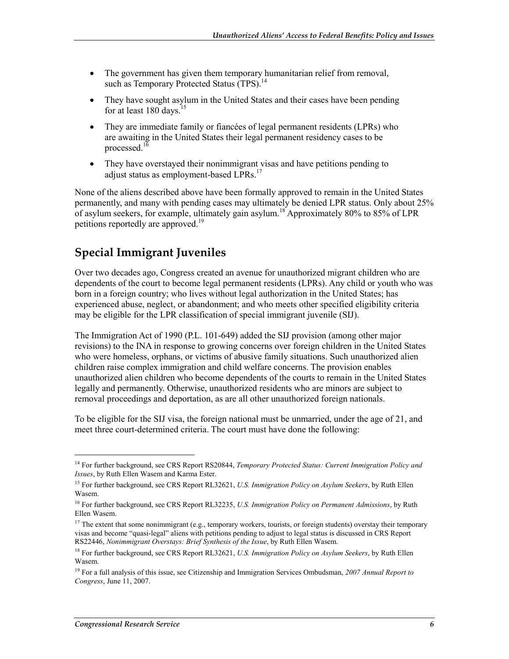- The government has given them temporary humanitarian relief from removal, such as Temporary Protected Status (TPS).<sup>14</sup>
- They have sought asylum in the United States and their cases have been pending for at least 180 days.<sup>15</sup>
- They are immediate family or fiancées of legal permanent residents (LPRs) who are awaiting in the United States their legal permanent residency cases to be processed. $16$
- They have overstayed their nonimmigrant visas and have petitions pending to adjust status as employment-based LPRs.<sup>17</sup>

None of the aliens described above have been formally approved to remain in the United States permanently, and many with pending cases may ultimately be denied LPR status. Only about 25% of asylum seekers, for example, ultimately gain asylum.18 Approximately 80% to 85% of LPR petitions reportedly are approved.<sup>19</sup>

## **Special Immigrant Juveniles**

Over two decades ago, Congress created an avenue for unauthorized migrant children who are dependents of the court to become legal permanent residents (LPRs). Any child or youth who was born in a foreign country; who lives without legal authorization in the United States; has experienced abuse, neglect, or abandonment; and who meets other specified eligibility criteria may be eligible for the LPR classification of special immigrant juvenile (SIJ).

The Immigration Act of 1990 (P.L. 101-649) added the SIJ provision (among other major revisions) to the INA in response to growing concerns over foreign children in the United States who were homeless, orphans, or victims of abusive family situations. Such unauthorized alien children raise complex immigration and child welfare concerns. The provision enables unauthorized alien children who become dependents of the courts to remain in the United States legally and permanently. Otherwise, unauthorized residents who are minors are subject to removal proceedings and deportation, as are all other unauthorized foreign nationals.

To be eligible for the SIJ visa, the foreign national must be unmarried, under the age of 21, and meet three court-determined criteria. The court must have done the following:

<sup>14</sup> For further background, see CRS Report RS20844, *Temporary Protected Status: Current Immigration Policy and Issues*, by Ruth Ellen Wasem and Karma Ester.

<sup>15</sup> For further background, see CRS Report RL32621, *U.S. Immigration Policy on Asylum Seekers*, by Ruth Ellen Wasem.

<sup>16</sup> For further background, see CRS Report RL32235, *U.S. Immigration Policy on Permanent Admissions*, by Ruth Ellen Wasem.

 $17$  The extent that some nonimmigrant (e.g., temporary workers, tourists, or foreign students) overstay their temporary visas and become "quasi-legal" aliens with petitions pending to adjust to legal status is discussed in CRS Report RS22446, *Nonimmigrant Overstays: Brief Synthesis of the Issue*, by Ruth Ellen Wasem.

<sup>18</sup> For further background, see CRS Report RL32621, *U.S. Immigration Policy on Asylum Seekers*, by Ruth Ellen Wasem.

<sup>19</sup> For a full analysis of this issue, see Citizenship and Immigration Services Ombudsman, *2007 Annual Report to Congress*, June 11, 2007.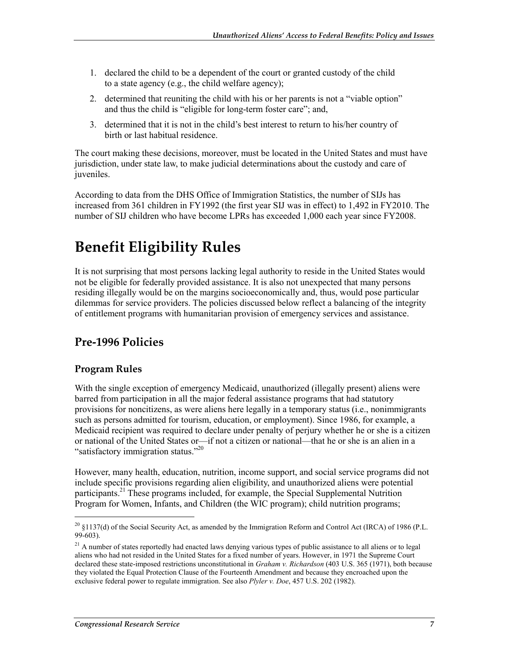- 1. declared the child to be a dependent of the court or granted custody of the child to a state agency (e.g., the child welfare agency);
- 2. determined that reuniting the child with his or her parents is not a "viable option" and thus the child is "eligible for long-term foster care"; and,
- 3. determined that it is not in the child's best interest to return to his/her country of birth or last habitual residence.

The court making these decisions, moreover, must be located in the United States and must have jurisdiction, under state law, to make judicial determinations about the custody and care of juveniles.

According to data from the DHS Office of Immigration Statistics, the number of SIJs has increased from 361 children in FY1992 (the first year SIJ was in effect) to 1,492 in FY2010. The number of SIJ children who have become LPRs has exceeded 1,000 each year since FY2008.

## **Benefit Eligibility Rules**

It is not surprising that most persons lacking legal authority to reside in the United States would not be eligible for federally provided assistance. It is also not unexpected that many persons residing illegally would be on the margins socioeconomically and, thus, would pose particular dilemmas for service providers. The policies discussed below reflect a balancing of the integrity of entitlement programs with humanitarian provision of emergency services and assistance.

### **Pre-1996 Policies**

#### **Program Rules**

1

With the single exception of emergency Medicaid, unauthorized (illegally present) aliens were barred from participation in all the major federal assistance programs that had statutory provisions for noncitizens, as were aliens here legally in a temporary status (i.e., nonimmigrants such as persons admitted for tourism, education, or employment). Since 1986, for example, a Medicaid recipient was required to declare under penalty of perjury whether he or she is a citizen or national of the United States or—if not a citizen or national—that he or she is an alien in a "satisfactory immigration status."<sup>20</sup>

However, many health, education, nutrition, income support, and social service programs did not include specific provisions regarding alien eligibility, and unauthorized aliens were potential participants.<sup>21</sup> These programs included, for example, the Special Supplemental Nutrition Program for Women, Infants, and Children (the WIC program); child nutrition programs;

<sup>&</sup>lt;sup>20</sup> §1137(d) of the Social Security Act, as amended by the Immigration Reform and Control Act (IRCA) of 1986 (P.L. 99-603).

<sup>&</sup>lt;sup>21</sup> A number of states reportedly had enacted laws denying various types of public assistance to all aliens or to legal aliens who had not resided in the United States for a fixed number of years. However, in 1971 the Supreme Court declared these state-imposed restrictions unconstitutional in *Graham v. Richardson* (403 U.S. 365 (1971), both because they violated the Equal Protection Clause of the Fourteenth Amendment and because they encroached upon the exclusive federal power to regulate immigration. See also *Plyler v. Doe*, 457 U.S. 202 (1982).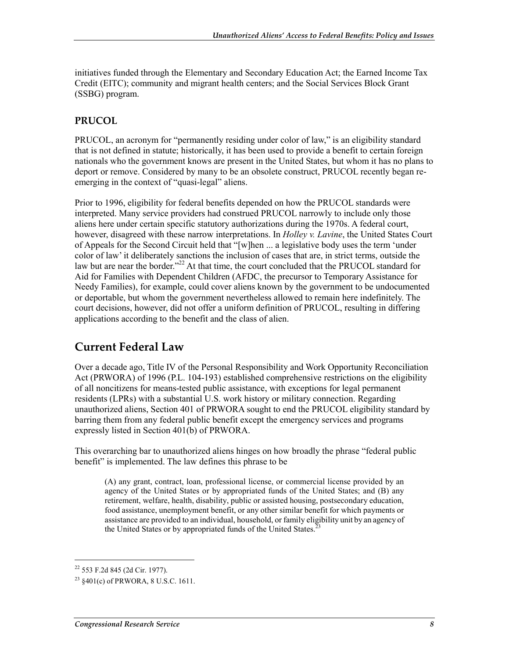initiatives funded through the Elementary and Secondary Education Act; the Earned Income Tax Credit (EITC); community and migrant health centers; and the Social Services Block Grant (SSBG) program.

#### **PRUCOL**

PRUCOL, an acronym for "permanently residing under color of law," is an eligibility standard that is not defined in statute; historically, it has been used to provide a benefit to certain foreign nationals who the government knows are present in the United States, but whom it has no plans to deport or remove. Considered by many to be an obsolete construct, PRUCOL recently began reemerging in the context of "quasi-legal" aliens.

Prior to 1996, eligibility for federal benefits depended on how the PRUCOL standards were interpreted. Many service providers had construed PRUCOL narrowly to include only those aliens here under certain specific statutory authorizations during the 1970s. A federal court, however, disagreed with these narrow interpretations. In *Holley v. Lavine*, the United States Court of Appeals for the Second Circuit held that "[w]hen ... a legislative body uses the term 'under color of law' it deliberately sanctions the inclusion of cases that are, in strict terms, outside the law but are near the border."<sup>22</sup> At that time, the court concluded that the PRUCOL standard for Aid for Families with Dependent Children (AFDC, the precursor to Temporary Assistance for Needy Families), for example, could cover aliens known by the government to be undocumented or deportable, but whom the government nevertheless allowed to remain here indefinitely. The court decisions, however, did not offer a uniform definition of PRUCOL, resulting in differing applications according to the benefit and the class of alien.

#### **Current Federal Law**

Over a decade ago, Title IV of the Personal Responsibility and Work Opportunity Reconciliation Act (PRWORA) of 1996 (P.L. 104-193) established comprehensive restrictions on the eligibility of all noncitizens for means-tested public assistance, with exceptions for legal permanent residents (LPRs) with a substantial U.S. work history or military connection. Regarding unauthorized aliens, Section 401 of PRWORA sought to end the PRUCOL eligibility standard by barring them from any federal public benefit except the emergency services and programs expressly listed in Section 401(b) of PRWORA.

This overarching bar to unauthorized aliens hinges on how broadly the phrase "federal public benefit" is implemented. The law defines this phrase to be

(A) any grant, contract, loan, professional license, or commercial license provided by an agency of the United States or by appropriated funds of the United States; and (B) any retirement, welfare, health, disability, public or assisted housing, postsecondary education, food assistance, unemployment benefit, or any other similar benefit for which payments or assistance are provided to an individual, household, or family eligibility unit by an agency of the United States or by appropriated funds of the United States.<sup>2</sup>

<sup>22 553</sup> F.2d 845 (2d Cir. 1977).

 $^{23}$   $\frac{8401(c)}{c}$  of PRWORA, 8 U.S.C. 1611.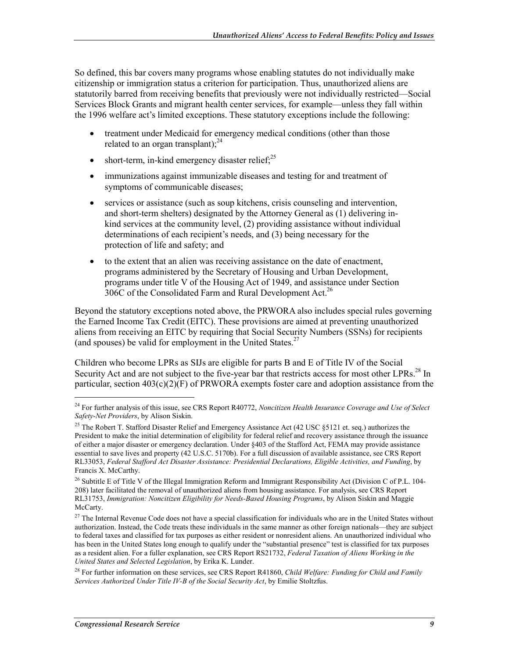So defined, this bar covers many programs whose enabling statutes do not individually make citizenship or immigration status a criterion for participation. Thus, unauthorized aliens are statutorily barred from receiving benefits that previously were not individually restricted—Social Services Block Grants and migrant health center services, for example—unless they fall within the 1996 welfare act's limited exceptions. These statutory exceptions include the following:

- treatment under Medicaid for emergency medical conditions (other than those related to an organ transplant); $^{24}$
- short-term, in-kind emergency disaster relief; $^{25}$
- immunizations against immunizable diseases and testing for and treatment of symptoms of communicable diseases;
- services or assistance (such as soup kitchens, crisis counseling and intervention, and short-term shelters) designated by the Attorney General as (1) delivering inkind services at the community level, (2) providing assistance without individual determinations of each recipient's needs, and (3) being necessary for the protection of life and safety; and
- to the extent that an alien was receiving assistance on the date of enactment, programs administered by the Secretary of Housing and Urban Development, programs under title V of the Housing Act of 1949, and assistance under Section 306C of the Consolidated Farm and Rural Development Act.<sup>26</sup>

Beyond the statutory exceptions noted above, the PRWORA also includes special rules governing the Earned Income Tax Credit (EITC). These provisions are aimed at preventing unauthorized aliens from receiving an EITC by requiring that Social Security Numbers (SSNs) for recipients (and spouses) be valid for employment in the United States. $27$ 

Children who become LPRs as SIJs are eligible for parts B and E of Title IV of the Social Security Act and are not subject to the five-year bar that restricts access for most other LPRs.<sup>28</sup> In particular, section  $403(c)(2)(F)$  of PRWORA exempts foster care and adoption assistance from the

<sup>24</sup> For further analysis of this issue, see CRS Report R40772, *Noncitizen Health Insurance Coverage and Use of Select Safety-Net Providers*, by Alison Siskin.

<sup>&</sup>lt;sup>25</sup> The Robert T. Stafford Disaster Relief and Emergency Assistance Act (42 USC §5121 et. seq.) authorizes the President to make the initial determination of eligibility for federal relief and recovery assistance through the issuance of either a major disaster or emergency declaration. Under §403 of the Stafford Act, FEMA may provide assistance essential to save lives and property (42 U.S.C. 5170b). For a full discussion of available assistance, see CRS Report RL33053, *Federal Stafford Act Disaster Assistance: Presidential Declarations, Eligible Activities, and Funding*, by Francis X. McCarthy.

<sup>&</sup>lt;sup>26</sup> Subtitle E of Title V of the Illegal Immigration Reform and Immigrant Responsibility Act (Division C of P.L. 104-208) later facilitated the removal of unauthorized aliens from housing assistance. For analysis, see CRS Report RL31753, *Immigration: Noncitizen Eligibility for Needs-Based Housing Programs*, by Alison Siskin and Maggie McCarty.

 $27$  The Internal Revenue Code does not have a special classification for individuals who are in the United States without authorization. Instead, the Code treats these individuals in the same manner as other foreign nationals—they are subject to federal taxes and classified for tax purposes as either resident or nonresident aliens. An unauthorized individual who has been in the United States long enough to qualify under the "substantial presence" test is classified for tax purposes as a resident alien. For a fuller explanation, see CRS Report RS21732, *Federal Taxation of Aliens Working in the United States and Selected Legislation*, by Erika K. Lunder.

<sup>28</sup> For further information on these services, see CRS Report R41860, *Child Welfare: Funding for Child and Family Services Authorized Under Title IV-B of the Social Security Act*, by Emilie Stoltzfus.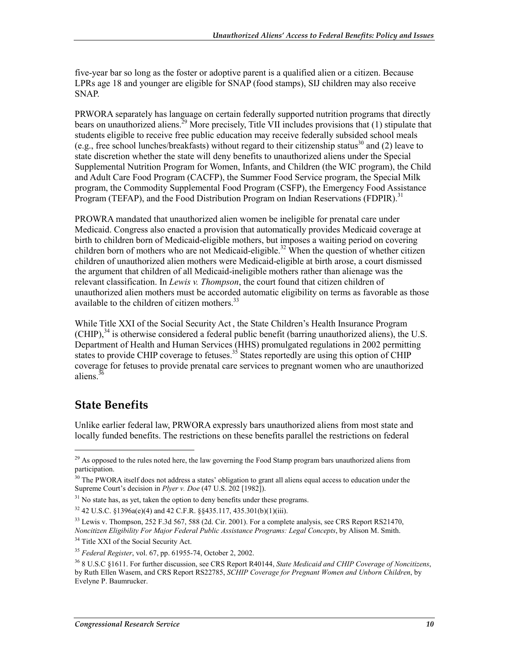five-year bar so long as the foster or adoptive parent is a qualified alien or a citizen. Because LPRs age 18 and younger are eligible for SNAP (food stamps), SIJ children may also receive SNAP.

PRWORA separately has language on certain federally supported nutrition programs that directly bears on unauthorized aliens.<sup>29</sup> More precisely. Title VII includes provisions that (1) stipulate that students eligible to receive free public education may receive federally subsided school meals (e.g., free school lunches/breakfasts) without regard to their citizenship status<sup>30</sup> and (2) leave to state discretion whether the state will deny benefits to unauthorized aliens under the Special Supplemental Nutrition Program for Women, Infants, and Children (the WIC program), the Child and Adult Care Food Program (CACFP), the Summer Food Service program, the Special Milk program, the Commodity Supplemental Food Program (CSFP), the Emergency Food Assistance Program (TEFAP), and the Food Distribution Program on Indian Reservations (FDPIR).<sup>31</sup>

PROWRA mandated that unauthorized alien women be ineligible for prenatal care under Medicaid. Congress also enacted a provision that automatically provides Medicaid coverage at birth to children born of Medicaid-eligible mothers, but imposes a waiting period on covering children born of mothers who are not Medicaid-eligible.<sup>32</sup> When the question of whether citizen children of unauthorized alien mothers were Medicaid-eligible at birth arose, a court dismissed the argument that children of all Medicaid-ineligible mothers rather than alienage was the relevant classification. In *Lewis v. Thompson*, the court found that citizen children of unauthorized alien mothers must be accorded automatic eligibility on terms as favorable as those available to the children of citizen mothers.<sup>33</sup>

While Title XXI of the Social Security Act , the State Children's Health Insurance Program  $(CHIP)$ ,<sup>34</sup> is otherwise considered a federal public benefit (barring unauthorized aliens), the U.S. Department of Health and Human Services (HHS) promulgated regulations in 2002 permitting states to provide CHIP coverage to fetuses.<sup>35</sup> States reportedly are using this option of CHIP coverage for fetuses to provide prenatal care services to pregnant women who are unauthorized aliens.<sup>36</sup>

### **State Benefits**

1

Unlike earlier federal law, PRWORA expressly bars unauthorized aliens from most state and locally funded benefits. The restrictions on these benefits parallel the restrictions on federal

<sup>&</sup>lt;sup>29</sup> As opposed to the rules noted here, the law governing the Food Stamp program bars unauthorized aliens from participation.

 $30$  The PWORA itself does not address a states' obligation to grant all aliens equal access to education under the Supreme Court's decision in *Plyer v. Doe* (47 U.S. 202 [1982]).

 $31$  No state has, as yet, taken the option to deny benefits under these programs.

<sup>32 42</sup> U.S.C. §1396a(e)(4) and 42 C.F.R. §§435.117, 435.301(b)(1)(iii).

 $33$  Lewis v. Thompson, 252 F.3d 567, 588 (2d. Cir. 2001). For a complete analysis, see CRS Report RS21470, *Noncitizen Eligibility For Major Federal Public Assistance Programs: Legal Concepts*, by Alison M. Smith.

<sup>&</sup>lt;sup>34</sup> Title XXI of the Social Security Act.

<sup>35</sup> *Federal Register*, vol. 67, pp. 61955-74, October 2, 2002.

<sup>36 8</sup> U.S.C §1611. For further discussion, see CRS Report R40144, *State Medicaid and CHIP Coverage of Noncitizens*, by Ruth Ellen Wasem, and CRS Report RS22785, *SCHIP Coverage for Pregnant Women and Unborn Children*, by Evelyne P. Baumrucker.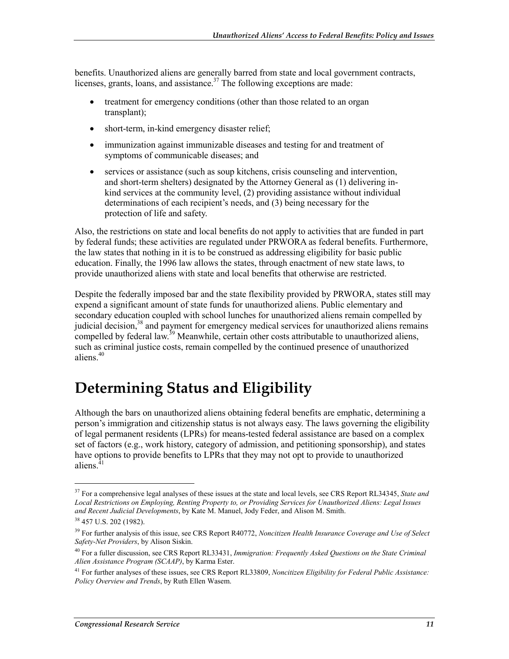benefits. Unauthorized aliens are generally barred from state and local government contracts, licenses, grants, loans, and assistance.<sup>37</sup> The following exceptions are made:

- treatment for emergency conditions (other than those related to an organ transplant);
- short-term, in-kind emergency disaster relief;
- immunization against immunizable diseases and testing for and treatment of symptoms of communicable diseases; and
- services or assistance (such as soup kitchens, crisis counseling and intervention, and short-term shelters) designated by the Attorney General as (1) delivering inkind services at the community level, (2) providing assistance without individual determinations of each recipient's needs, and (3) being necessary for the protection of life and safety.

Also, the restrictions on state and local benefits do not apply to activities that are funded in part by federal funds; these activities are regulated under PRWORA as federal benefits. Furthermore, the law states that nothing in it is to be construed as addressing eligibility for basic public education. Finally, the 1996 law allows the states, through enactment of new state laws, to provide unauthorized aliens with state and local benefits that otherwise are restricted.

Despite the federally imposed bar and the state flexibility provided by PRWORA, states still may expend a significant amount of state funds for unauthorized aliens. Public elementary and secondary education coupled with school lunches for unauthorized aliens remain compelled by judicial decision,<sup>38</sup> and payment for emergency medical services for unauthorized aliens remains compelled by federal law.<sup>39</sup> Meanwhile, certain other costs attributable to unauthorized aliens, such as criminal justice costs, remain compelled by the continued presence of unauthorized aliens.<sup>40</sup>

## **Determining Status and Eligibility**

Although the bars on unauthorized aliens obtaining federal benefits are emphatic, determining a person's immigration and citizenship status is not always easy. The laws governing the eligibility of legal permanent residents (LPRs) for means-tested federal assistance are based on a complex set of factors (e.g., work history, category of admission, and petitioning sponsorship), and states have options to provide benefits to LPRs that they may not opt to provide to unauthorized aliens. $4$ 

<sup>37</sup> For a comprehensive legal analyses of these issues at the state and local levels, see CRS Report RL34345, *State and Local Restrictions on Employing, Renting Property to, or Providing Services for Unauthorized Aliens: Legal Issues and Recent Judicial Developments*, by Kate M. Manuel, Jody Feder, and Alison M. Smith.

<sup>38 457</sup> U.S. 202 (1982).

<sup>39</sup> For further analysis of this issue, see CRS Report R40772, *Noncitizen Health Insurance Coverage and Use of Select Safety-Net Providers*, by Alison Siskin.

<sup>40</sup> For a fuller discussion, see CRS Report RL33431, *Immigration: Frequently Asked Questions on the State Criminal Alien Assistance Program (SCAAP)*, by Karma Ester.

<sup>41</sup> For further analyses of these issues, see CRS Report RL33809, *Noncitizen Eligibility for Federal Public Assistance: Policy Overview and Trends*, by Ruth Ellen Wasem.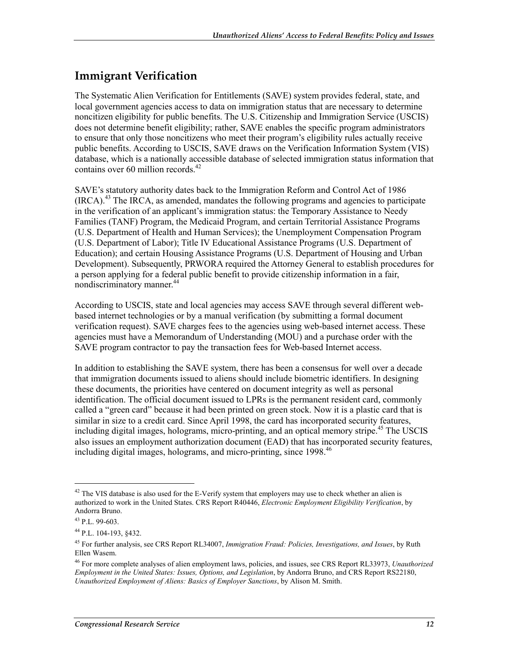## **Immigrant Verification**

The Systematic Alien Verification for Entitlements (SAVE) system provides federal, state, and local government agencies access to data on immigration status that are necessary to determine noncitizen eligibility for public benefits. The U.S. Citizenship and Immigration Service (USCIS) does not determine benefit eligibility; rather, SAVE enables the specific program administrators to ensure that only those noncitizens who meet their program's eligibility rules actually receive public benefits. According to USCIS, SAVE draws on the Verification Information System (VIS) database, which is a nationally accessible database of selected immigration status information that contains over 60 million records. $42$ 

SAVE's statutory authority dates back to the Immigration Reform and Control Act of 1986  $(IRCA)<sup>43</sup>$  The IRCA, as amended, mandates the following programs and agencies to participate in the verification of an applicant's immigration status: the Temporary Assistance to Needy Families (TANF) Program, the Medicaid Program, and certain Territorial Assistance Programs (U.S. Department of Health and Human Services); the Unemployment Compensation Program (U.S. Department of Labor); Title IV Educational Assistance Programs (U.S. Department of Education); and certain Housing Assistance Programs (U.S. Department of Housing and Urban Development). Subsequently, PRWORA required the Attorney General to establish procedures for a person applying for a federal public benefit to provide citizenship information in a fair, nondiscriminatory manner.<sup>44</sup>

According to USCIS, state and local agencies may access SAVE through several different webbased internet technologies or by a manual verification (by submitting a formal document verification request). SAVE charges fees to the agencies using web-based internet access. These agencies must have a Memorandum of Understanding (MOU) and a purchase order with the SAVE program contractor to pay the transaction fees for Web-based Internet access.

In addition to establishing the SAVE system, there has been a consensus for well over a decade that immigration documents issued to aliens should include biometric identifiers. In designing these documents, the priorities have centered on document integrity as well as personal identification. The official document issued to LPRs is the permanent resident card, commonly called a "green card" because it had been printed on green stock. Now it is a plastic card that is similar in size to a credit card. Since April 1998, the card has incorporated security features, including digital images, holograms, micro-printing, and an optical memory stripe.<sup>45</sup> The USCIS also issues an employment authorization document (EAD) that has incorporated security features, including digital images, holograms, and micro-printing, since  $1998$ <sup>46</sup>

 $42$  The VIS database is also used for the E-Verify system that employers may use to check whether an alien is authorized to work in the United States. CRS Report R40446, *Electronic Employment Eligibility Verification*, by Andorra Bruno.

 $43$  P.L. 99-603.

<sup>44</sup> P.L. 104-193, §432.

<sup>45</sup> For further analysis, see CRS Report RL34007, *Immigration Fraud: Policies, Investigations, and Issues*, by Ruth Ellen Wasem.

<sup>46</sup> For more complete analyses of alien employment laws, policies, and issues, see CRS Report RL33973, *Unauthorized Employment in the United States: Issues, Options, and Legislation*, by Andorra Bruno, and CRS Report RS22180, *Unauthorized Employment of Aliens: Basics of Employer Sanctions*, by Alison M. Smith.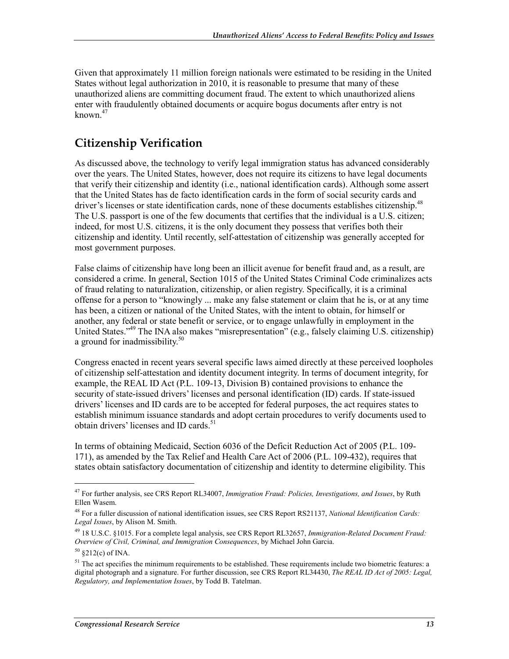Given that approximately 11 million foreign nationals were estimated to be residing in the United States without legal authorization in 2010, it is reasonable to presume that many of these unauthorized aliens are committing document fraud. The extent to which unauthorized aliens enter with fraudulently obtained documents or acquire bogus documents after entry is not known $47$ 

## **Citizenship Verification**

As discussed above, the technology to verify legal immigration status has advanced considerably over the years. The United States, however, does not require its citizens to have legal documents that verify their citizenship and identity (i.e., national identification cards). Although some assert that the United States has de facto identification cards in the form of social security cards and driver's licenses or state identification cards, none of these documents establishes citizenship.<sup>48</sup> The U.S. passport is one of the few documents that certifies that the individual is a U.S. citizen; indeed, for most U.S. citizens, it is the only document they possess that verifies both their citizenship and identity. Until recently, self-attestation of citizenship was generally accepted for most government purposes.

False claims of citizenship have long been an illicit avenue for benefit fraud and, as a result, are considered a crime. In general, Section 1015 of the United States Criminal Code criminalizes acts of fraud relating to naturalization, citizenship, or alien registry. Specifically, it is a criminal offense for a person to "knowingly ... make any false statement or claim that he is, or at any time has been, a citizen or national of the United States, with the intent to obtain, for himself or another, any federal or state benefit or service, or to engage unlawfully in employment in the United States."49 The INA also makes "misrepresentation" (e.g., falsely claiming U.S. citizenship) a ground for inadmissibility.<sup>50</sup>

Congress enacted in recent years several specific laws aimed directly at these perceived loopholes of citizenship self-attestation and identity document integrity. In terms of document integrity, for example, the REAL ID Act (P.L. 109-13, Division B) contained provisions to enhance the security of state-issued drivers' licenses and personal identification (ID) cards. If state-issued drivers' licenses and ID cards are to be accepted for federal purposes, the act requires states to establish minimum issuance standards and adopt certain procedures to verify documents used to obtain drivers' licenses and ID cards.<sup>51</sup>

In terms of obtaining Medicaid, Section 6036 of the Deficit Reduction Act of 2005 (P.L. 109- 171), as amended by the Tax Relief and Health Care Act of 2006 (P.L. 109-432), requires that states obtain satisfactory documentation of citizenship and identity to determine eligibility. This

<sup>47</sup> For further analysis, see CRS Report RL34007, *Immigration Fraud: Policies, Investigations, and Issues*, by Ruth Ellen Wasem.

<sup>48</sup> For a fuller discussion of national identification issues, see CRS Report RS21137, *National Identification Cards: Legal Issues*, by Alison M. Smith.

<sup>49 18</sup> U.S.C. §1015. For a complete legal analysis, see CRS Report RL32657, *Immigration-Related Document Fraud: Overview of Civil, Criminal, and Immigration Consequences*, by Michael John Garcia.

 $50 \text{ } $212(c) \text{ of INA.}$ 

<sup>&</sup>lt;sup>51</sup> The act specifies the minimum requirements to be established. These requirements include two biometric features: a digital photograph and a signature. For further discussion, see CRS Report RL34430, *The REAL ID Act of 2005: Legal, Regulatory, and Implementation Issues*, by Todd B. Tatelman.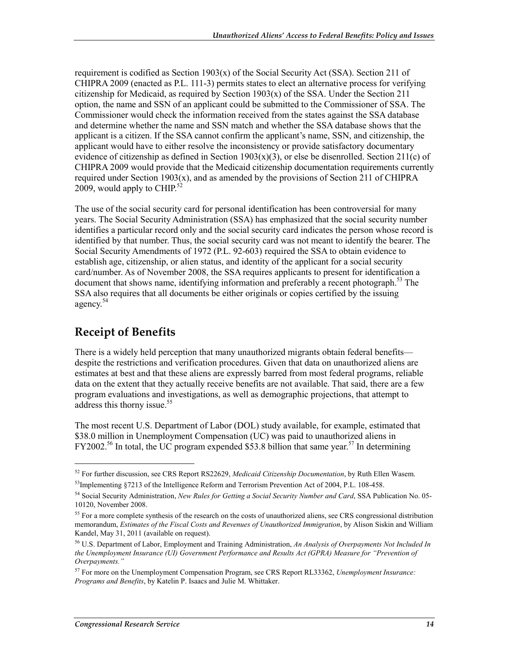requirement is codified as Section  $1903(x)$  of the Social Security Act (SSA). Section 211 of CHIPRA 2009 (enacted as P.L. 111-3) permits states to elect an alternative process for verifying citizenship for Medicaid, as required by Section  $1903(x)$  of the SSA. Under the Section 211 option, the name and SSN of an applicant could be submitted to the Commissioner of SSA. The Commissioner would check the information received from the states against the SSA database and determine whether the name and SSN match and whether the SSA database shows that the applicant is a citizen. If the SSA cannot confirm the applicant's name, SSN, and citizenship, the applicant would have to either resolve the inconsistency or provide satisfactory documentary evidence of citizenship as defined in Section  $1903(x)(3)$ , or else be disenrolled. Section  $211(c)$  of CHIPRA 2009 would provide that the Medicaid citizenship documentation requirements currently required under Section  $1903(x)$ , and as amended by the provisions of Section 211 of CHIPRA 2009, would apply to CHIP. $52$ 

The use of the social security card for personal identification has been controversial for many years. The Social Security Administration (SSA) has emphasized that the social security number identifies a particular record only and the social security card indicates the person whose record is identified by that number. Thus, the social security card was not meant to identify the bearer. The Social Security Amendments of 1972 (P.L. 92-603) required the SSA to obtain evidence to establish age, citizenship, or alien status, and identity of the applicant for a social security card/number. As of November 2008, the SSA requires applicants to present for identification a document that shows name, identifying information and preferably a recent photograph.<sup>53</sup> The SSA also requires that all documents be either originals or copies certified by the issuing agency.<sup>54</sup>

### **Receipt of Benefits**

1

There is a widely held perception that many unauthorized migrants obtain federal benefits despite the restrictions and verification procedures. Given that data on unauthorized aliens are estimates at best and that these aliens are expressly barred from most federal programs, reliable data on the extent that they actually receive benefits are not available. That said, there are a few program evaluations and investigations, as well as demographic projections, that attempt to address this thorny issue.<sup>55</sup>

The most recent U.S. Department of Labor (DOL) study available, for example, estimated that \$38.0 million in Unemployment Compensation (UC) was paid to unauthorized aliens in  $FY2002<sup>56</sup>$  In total, the UC program expended \$53.8 billion that same year.<sup>57</sup> In determining

<sup>52</sup> For further discussion, see CRS Report RS22629, *Medicaid Citizenship Documentation*, by Ruth Ellen Wasem.  $53$ Implementing §7213 of the Intelligence Reform and Terrorism Prevention Act of 2004, P.L. 108-458.

<sup>54</sup> Social Security Administration, *New Rules for Getting a Social Security Number and Card*, SSA Publication No. 05- 10120, November 2008.

<sup>&</sup>lt;sup>55</sup> For a more complete synthesis of the research on the costs of unauthorized aliens, see CRS congressional distribution memorandum, *Estimates of the Fiscal Costs and Revenues of Unauthorized Immigration*, by Alison Siskin and William Kandel, May 31, 2011 (available on request).

<sup>56</sup> U.S. Department of Labor, Employment and Training Administration, *An Analysis of Overpayments Not Included In the Unemployment Insurance (UI) Government Performance and Results Act (GPRA) Measure for "Prevention of Overpayments."*

<sup>57</sup> For more on the Unemployment Compensation Program, see CRS Report RL33362, *Unemployment Insurance: Programs and Benefits*, by Katelin P. Isaacs and Julie M. Whittaker.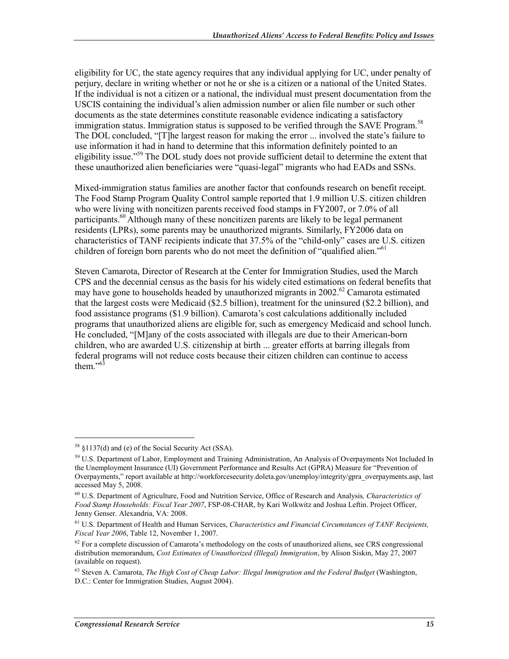eligibility for UC, the state agency requires that any individual applying for UC, under penalty of perjury, declare in writing whether or not he or she is a citizen or a national of the United States. If the individual is not a citizen or a national, the individual must present documentation from the USCIS containing the individual's alien admission number or alien file number or such other documents as the state determines constitute reasonable evidence indicating a satisfactory immigration status. Immigration status is supposed to be verified through the SAVE Program.<sup>58</sup> The DOL concluded, "[T]he largest reason for making the error ... involved the state's failure to use information it had in hand to determine that this information definitely pointed to an eligibility issue."<sup>59</sup> The DOL study does not provide sufficient detail to determine the extent that these unauthorized alien beneficiaries were "quasi-legal" migrants who had EADs and SSNs.

Mixed-immigration status families are another factor that confounds research on benefit receipt. The Food Stamp Program Quality Control sample reported that 1.9 million U.S. citizen children who were living with noncitizen parents received food stamps in FY2007, or 7.0% of all participants.<sup>60</sup> Although many of these noncitizen parents are likely to be legal permanent residents (LPRs), some parents may be unauthorized migrants. Similarly, FY2006 data on characteristics of TANF recipients indicate that 37.5% of the "child-only" cases are U.S. citizen children of foreign born parents who do not meet the definition of "qualified alien."<sup>61</sup>

Steven Camarota, Director of Research at the Center for Immigration Studies, used the March CPS and the decennial census as the basis for his widely cited estimations on federal benefits that may have gone to households headed by unauthorized migrants in 2002.<sup>62</sup> Camarota estimated that the largest costs were Medicaid (\$2.5 billion), treatment for the uninsured (\$2.2 billion), and food assistance programs (\$1.9 billion). Camarota's cost calculations additionally included programs that unauthorized aliens are eligible for, such as emergency Medicaid and school lunch. He concluded, "[M]any of the costs associated with illegals are due to their American-born children, who are awarded U.S. citizenship at birth ... greater efforts at barring illegals from federal programs will not reduce costs because their citizen children can continue to access them." $63$ 

<sup>58 §1137(</sup>d) and (e) of the Social Security Act (SSA).

<sup>59</sup> U.S. Department of Labor, Employment and Training Administration, An Analysis of Overpayments Not Included In the Unemployment Insurance (UI) Government Performance and Results Act (GPRA) Measure for "Prevention of Overpayments," report available at http://workforcesecurity.doleta.gov/unemploy/integrity/gpra\_overpayments.asp, last accessed May 5, 2008.

<sup>60</sup> U.S. Department of Agriculture, Food and Nutrition Service, Office of Research and Analysis*, Characteristics of Food Stamp Households: Fiscal Year 2007*, FSP-08-CHAR, by Kari Wolkwitz and Joshua Leftin. Project Officer, Jenny Genser. Alexandria, VA: 2008.

<sup>61</sup> U.S. Department of Health and Human Services, *Characteristics and Financial Circumstances of TANF Recipients, Fiscal Year 2006*, Table 12, November 1, 2007.

 $62$  For a complete discussion of Camarota's methodology on the costs of unauthorized aliens, see CRS congressional distribution memorandum, *Cost Estimates of Unauthorized (Illegal) Immigration*, by Alison Siskin, May 27, 2007 (available on request).

<sup>63</sup> Steven A. Camarota, *The High Cost of Cheap Labor: Illegal Immigration and the Federal Budget* (Washington, D.C.: Center for Immigration Studies, August 2004).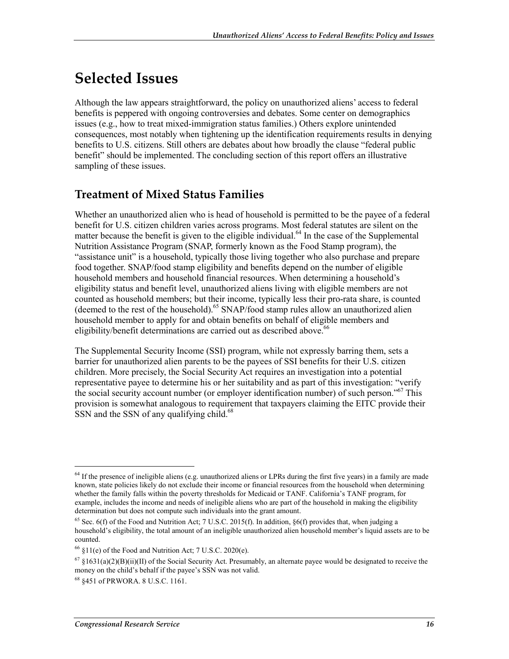## **Selected Issues**

Although the law appears straightforward, the policy on unauthorized aliens' access to federal benefits is peppered with ongoing controversies and debates. Some center on demographics issues (e.g., how to treat mixed-immigration status families.) Others explore unintended consequences, most notably when tightening up the identification requirements results in denying benefits to U.S. citizens. Still others are debates about how broadly the clause "federal public benefit" should be implemented. The concluding section of this report offers an illustrative sampling of these issues.

#### **Treatment of Mixed Status Families**

Whether an unauthorized alien who is head of household is permitted to be the payee of a federal benefit for U.S. citizen children varies across programs. Most federal statutes are silent on the matter because the benefit is given to the eligible individual.<sup>64</sup> In the case of the Supplemental Nutrition Assistance Program (SNAP, formerly known as the Food Stamp program), the "assistance unit" is a household, typically those living together who also purchase and prepare food together. SNAP/food stamp eligibility and benefits depend on the number of eligible household members and household financial resources. When determining a household's eligibility status and benefit level, unauthorized aliens living with eligible members are not counted as household members; but their income, typically less their pro-rata share, is counted (deemed to the rest of the household).<sup>65</sup> SNAP/food stamp rules allow an unauthorized alien household member to apply for and obtain benefits on behalf of eligible members and eligibility/benefit determinations are carried out as described above.<sup>66</sup>

The Supplemental Security Income (SSI) program, while not expressly barring them, sets a barrier for unauthorized alien parents to be the payees of SSI benefits for their U.S. citizen children. More precisely, the Social Security Act requires an investigation into a potential representative payee to determine his or her suitability and as part of this investigation: "verify the social security account number (or employer identification number) of such person."<sup>67</sup> This provision is somewhat analogous to requirement that taxpayers claiming the EITC provide their SSN and the SSN of any qualifying child.<sup>68</sup>

<sup>&</sup>lt;sup>64</sup> If the presence of ineligible aliens (e.g. unauthorized aliens or LPRs during the first five years) in a family are made known, state policies likely do not exclude their income or financial resources from the household when determining whether the family falls within the poverty thresholds for Medicaid or TANF. California's TANF program, for example, includes the income and needs of ineligible aliens who are part of the household in making the eligibility determination but does not compute such individuals into the grant amount.

<sup>&</sup>lt;sup>65</sup> Sec. 6(f) of the Food and Nutrition Act; 7 U.S.C. 2015(f). In addition,  $\S6(f)$  provides that, when judging a household's eligibility, the total amount of an ineligible unauthorized alien household member's liquid assets are to be counted.

 $66$  §11(e) of the Food and Nutrition Act; 7 U.S.C. 2020(e).

 $67 \xi 1631(a)(2)(B)(ii)(II)$  of the Social Security Act. Presumably, an alternate payee would be designated to receive the money on the child's behalf if the payee's SSN was not valid.

<sup>68 §451</sup> of PRWORA. 8 U.S.C. 1161.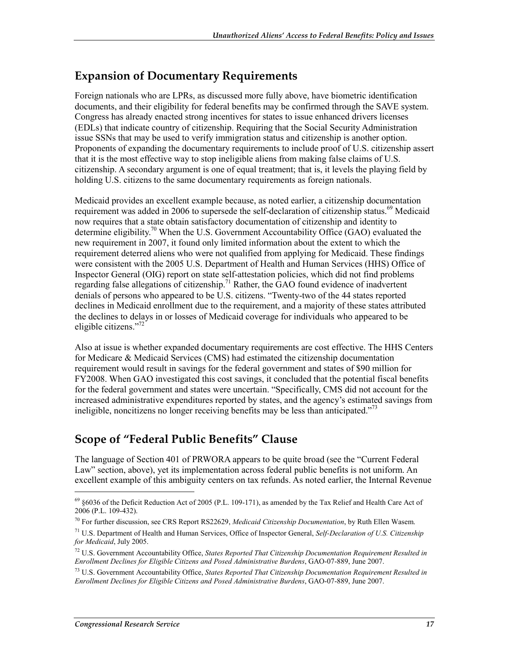### **Expansion of Documentary Requirements**

Foreign nationals who are LPRs, as discussed more fully above, have biometric identification documents, and their eligibility for federal benefits may be confirmed through the SAVE system. Congress has already enacted strong incentives for states to issue enhanced drivers licenses (EDLs) that indicate country of citizenship. Requiring that the Social Security Administration issue SSNs that may be used to verify immigration status and citizenship is another option. Proponents of expanding the documentary requirements to include proof of U.S. citizenship assert that it is the most effective way to stop ineligible aliens from making false claims of U.S. citizenship. A secondary argument is one of equal treatment; that is, it levels the playing field by holding U.S. citizens to the same documentary requirements as foreign nationals.

Medicaid provides an excellent example because, as noted earlier, a citizenship documentation requirement was added in 2006 to supersede the self-declaration of citizenship status.<sup>69</sup> Medicaid now requires that a state obtain satisfactory documentation of citizenship and identity to determine eligibility.<sup>70</sup> When the U.S. Government Accountability Office (GAO) evaluated the new requirement in 2007, it found only limited information about the extent to which the requirement deterred aliens who were not qualified from applying for Medicaid. These findings were consistent with the 2005 U.S. Department of Health and Human Services (HHS) Office of Inspector General (OIG) report on state self-attestation policies, which did not find problems regarding false allegations of citizenship.<sup>71</sup> Rather, the  $\widehat{G}AO$  found evidence of inadvertent denials of persons who appeared to be U.S. citizens. "Twenty-two of the 44 states reported declines in Medicaid enrollment due to the requirement, and a majority of these states attributed the declines to delays in or losses of Medicaid coverage for individuals who appeared to be eligible citizens."72

Also at issue is whether expanded documentary requirements are cost effective. The HHS Centers for Medicare & Medicaid Services (CMS) had estimated the citizenship documentation requirement would result in savings for the federal government and states of \$90 million for FY2008. When GAO investigated this cost savings, it concluded that the potential fiscal benefits for the federal government and states were uncertain. "Specifically, CMS did not account for the increased administrative expenditures reported by states, and the agency's estimated savings from ineligible, noncitizens no longer receiving benefits may be less than anticipated."<sup>73</sup>

## **Scope of "Federal Public Benefits" Clause**

The language of Section 401 of PRWORA appears to be quite broad (see the "Current Federal Law" section, above), yet its implementation across federal public benefits is not uniform. An excellent example of this ambiguity centers on tax refunds. As noted earlier, the Internal Revenue

<sup>69 §6036</sup> of the Deficit Reduction Act of 2005 (P.L. 109-171), as amended by the Tax Relief and Health Care Act of 2006 (P.L. 109-432).

<sup>70</sup> For further discussion, see CRS Report RS22629, *Medicaid Citizenship Documentation*, by Ruth Ellen Wasem.

<sup>71</sup> U.S. Department of Health and Human Services, Office of Inspector General, *Self-Declaration of U.S. Citizenship for Medicaid*, July 2005.

<sup>72</sup> U.S. Government Accountability Office, *States Reported That Citizenship Documentation Requirement Resulted in Enrollment Declines for Eligible Citizens and Posed Administrative Burdens*, GAO-07-889, June 2007.

<sup>73</sup> U.S. Government Accountability Office, *States Reported That Citizenship Documentation Requirement Resulted in Enrollment Declines for Eligible Citizens and Posed Administrative Burdens*, GAO-07-889, June 2007.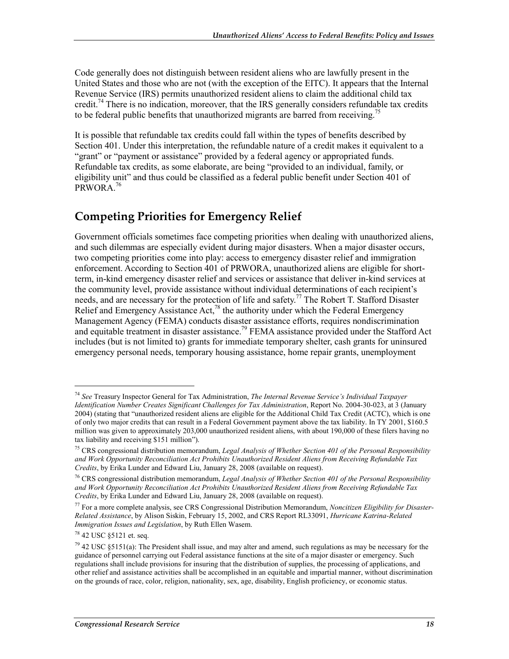Code generally does not distinguish between resident aliens who are lawfully present in the United States and those who are not (with the exception of the EITC). It appears that the Internal Revenue Service (IRS) permits unauthorized resident aliens to claim the additional child tax credit.<sup>74</sup> There is no indication, moreover, that the IRS generally considers refundable tax credits to be federal public benefits that unauthorized migrants are barred from receiving.<sup>75</sup>

It is possible that refundable tax credits could fall within the types of benefits described by Section 401. Under this interpretation, the refundable nature of a credit makes it equivalent to a "grant" or "payment or assistance" provided by a federal agency or appropriated funds. Refundable tax credits, as some elaborate, are being "provided to an individual, family, or eligibility unit" and thus could be classified as a federal public benefit under Section 401 of PRWORA.76

## **Competing Priorities for Emergency Relief**

Government officials sometimes face competing priorities when dealing with unauthorized aliens, and such dilemmas are especially evident during major disasters. When a major disaster occurs, two competing priorities come into play: access to emergency disaster relief and immigration enforcement. According to Section 401 of PRWORA, unauthorized aliens are eligible for shortterm, in-kind emergency disaster relief and services or assistance that deliver in-kind services at the community level, provide assistance without individual determinations of each recipient's needs, and are necessary for the protection of life and safety.<sup>77</sup> The Robert T. Stafford Disaster Relief and Emergency Assistance Act,<sup>78</sup> the authority under which the Federal Emergency Management Agency (FEMA) conducts disaster assistance efforts, requires nondiscrimination and equitable treatment in disaster assistance.<sup>79</sup> FEMA assistance provided under the Stafford Act includes (but is not limited to) grants for immediate temporary shelter, cash grants for uninsured emergency personal needs, temporary housing assistance, home repair grants, unemployment

<sup>74</sup> *See* Treasury Inspector General for Tax Administration, *The Internal Revenue Service's Individual Taxpayer Identification Number Creates Significant Challenges for Tax Administration*, Report No. 2004-30-023, at 3 (January 2004) (stating that "unauthorized resident aliens are eligible for the Additional Child Tax Credit (ACTC), which is one of only two major credits that can result in a Federal Government payment above the tax liability. In TY 2001, \$160.5 million was given to approximately 203,000 unauthorized resident aliens, with about 190,000 of these filers having no tax liability and receiving \$151 million").

<sup>75</sup> CRS congressional distribution memorandum, *Legal Analysis of Whether Section 401 of the Personal Responsibility and Work Opportunity Reconciliation Act Prohibits Unauthorized Resident Aliens from Receiving Refundable Tax Credits*, by Erika Lunder and Edward Liu, January 28, 2008 (available on request).

<sup>76</sup> CRS congressional distribution memorandum, *Legal Analysis of Whether Section 401 of the Personal Responsibility and Work Opportunity Reconciliation Act Prohibits Unauthorized Resident Aliens from Receiving Refundable Tax Credits*, by Erika Lunder and Edward Liu, January 28, 2008 (available on request).

<sup>77</sup> For a more complete analysis, see CRS Congressional Distribution Memorandum, *Noncitizen Eligibility for Disaster-Related Assistance*, by Alison Siskin, February 15, 2002, and CRS Report RL33091, *Hurricane Katrina-Related Immigration Issues and Legislation*, by Ruth Ellen Wasem.

<sup>78 42</sup> USC §5121 et. seq.

 $^{79}$  42 USC §5151(a): The President shall issue, and may alter and amend, such regulations as may be necessary for the guidance of personnel carrying out Federal assistance functions at the site of a major disaster or emergency. Such regulations shall include provisions for insuring that the distribution of supplies, the processing of applications, and other relief and assistance activities shall be accomplished in an equitable and impartial manner, without discrimination on the grounds of race, color, religion, nationality, sex, age, disability, English proficiency, or economic status.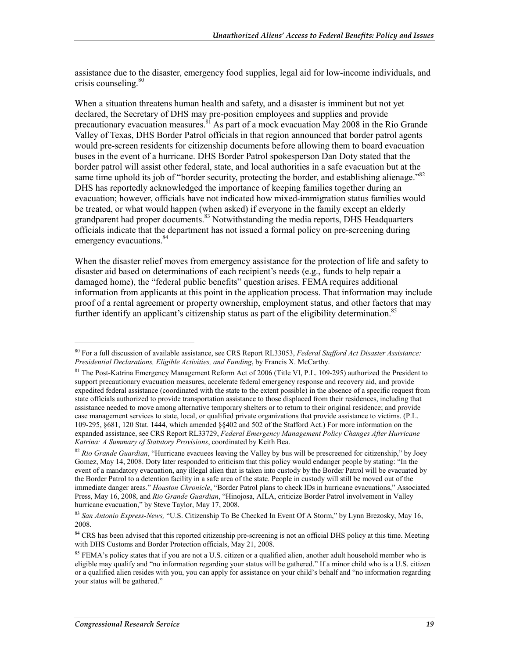assistance due to the disaster, emergency food supplies, legal aid for low-income individuals, and crisis counseling.<sup>80</sup>

When a situation threatens human health and safety, and a disaster is imminent but not yet declared, the Secretary of DHS may pre-position employees and supplies and provide precautionary evacuation measures.<sup>81</sup> As part of a mock evacuation May 2008 in the Rio Grande Valley of Texas, DHS Border Patrol officials in that region announced that border patrol agents would pre-screen residents for citizenship documents before allowing them to board evacuation buses in the event of a hurricane. DHS Border Patrol spokesperson Dan Doty stated that the border patrol will assist other federal, state, and local authorities in a safe evacuation but at the same time uphold its job of "border security, protecting the border, and establishing alienage."<sup>82</sup> DHS has reportedly acknowledged the importance of keeping families together during an evacuation; however, officials have not indicated how mixed-immigration status families would be treated, or what would happen (when asked) if everyone in the family except an elderly grandparent had proper documents.<sup>83</sup> Notwithstanding the media reports, DHS Headquarters officials indicate that the department has not issued a formal policy on pre-screening during emergency evacuations.<sup>84</sup>

When the disaster relief moves from emergency assistance for the protection of life and safety to disaster aid based on determinations of each recipient's needs (e.g., funds to help repair a damaged home), the "federal public benefits" question arises. FEMA requires additional information from applicants at this point in the application process. That information may include proof of a rental agreement or property ownership, employment status, and other factors that may further identify an applicant's citizenship status as part of the eligibility determination.<sup>85</sup>

<sup>80</sup> For a full discussion of available assistance, see CRS Report RL33053, *Federal Stafford Act Disaster Assistance: Presidential Declarations, Eligible Activities, and Funding*, by Francis X. McCarthy.

<sup>&</sup>lt;sup>81</sup> The Post-Katrina Emergency Management Reform Act of 2006 (Title VI, P.L. 109-295) authorized the President to support precautionary evacuation measures, accelerate federal emergency response and recovery aid, and provide expedited federal assistance (coordinated with the state to the extent possible) in the absence of a specific request from state officials authorized to provide transportation assistance to those displaced from their residences, including that assistance needed to move among alternative temporary shelters or to return to their original residence; and provide case management services to state, local, or qualified private organizations that provide assistance to victims. (P.L. 109-295, §681, 120 Stat. 1444, which amended §§402 and 502 of the Stafford Act.) For more information on the expanded assistance, see CRS Report RL33729, *Federal Emergency Management Policy Changes After Hurricane Katrina: A Summary of Statutory Provisions*, coordinated by Keith Bea.

<sup>82</sup> *Rio Grande Guardian*, "Hurricane evacuees leaving the Valley by bus will be prescreened for citizenship," by Joey Gomez, May 14, 2008. Doty later responded to criticism that this policy would endanger people by stating: "In the event of a mandatory evacuation, any illegal alien that is taken into custody by the Border Patrol will be evacuated by the Border Patrol to a detention facility in a safe area of the state. People in custody will still be moved out of the immediate danger areas." *Houston Chronicle*, "Border Patrol plans to check IDs in hurricane evacuations," Associated Press, May 16, 2008, and *Rio Grande Guardian*, "Hinojosa, AILA, criticize Border Patrol involvement in Valley hurricane evacuation," by Steve Taylor, May 17, 2008.

<sup>83</sup> *San Antonio Express-News,* "U.S. Citizenship To Be Checked In Event Of A Storm," by Lynn Brezosky, May 16, 2008.

<sup>&</sup>lt;sup>84</sup> CRS has been advised that this reported citizenship pre-screening is not an official DHS policy at this time. Meeting with DHS Customs and Border Protection officials, May 21, 2008.

 $85$  FEMA's policy states that if you are not a U.S. citizen or a qualified alien, another adult household member who is eligible may qualify and "no information regarding your status will be gathered." If a minor child who is a U.S. citizen or a qualified alien resides with you, you can apply for assistance on your child's behalf and "no information regarding your status will be gathered."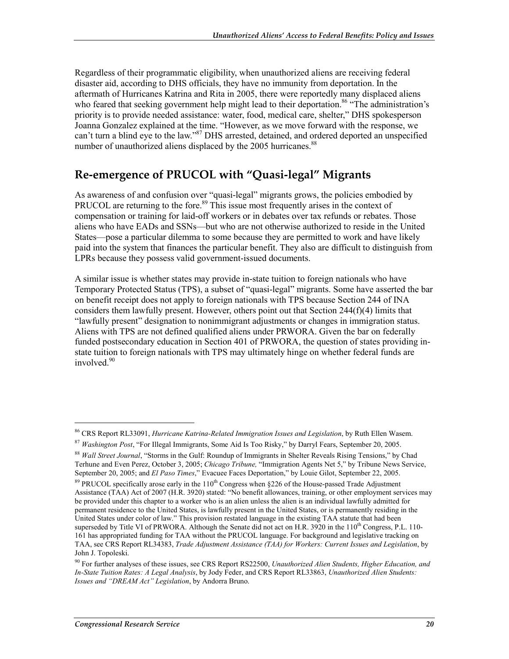Regardless of their programmatic eligibility, when unauthorized aliens are receiving federal disaster aid, according to DHS officials, they have no immunity from deportation. In the aftermath of Hurricanes Katrina and Rita in 2005, there were reportedly many displaced aliens who feared that seeking government help might lead to their deportation.<sup>86</sup> "The administration's priority is to provide needed assistance: water, food, medical care, shelter," DHS spokesperson Joanna Gonzalez explained at the time. "However, as we move forward with the response, we can't turn a blind eye to the law."<sup>87</sup> DHS arrested, detained, and ordered deported an unspecified number of unauthorized aliens displaced by the 2005 hurricanes.<sup>88</sup>

### **Re-emergence of PRUCOL with "Quasi-legal" Migrants**

As awareness of and confusion over "quasi-legal" migrants grows, the policies embodied by PRUCOL are returning to the fore.<sup>89</sup> This issue most frequently arises in the context of compensation or training for laid-off workers or in debates over tax refunds or rebates. Those aliens who have EADs and SSNs—but who are not otherwise authorized to reside in the United States—pose a particular dilemma to some because they are permitted to work and have likely paid into the system that finances the particular benefit. They also are difficult to distinguish from LPRs because they possess valid government-issued documents.

A similar issue is whether states may provide in-state tuition to foreign nationals who have Temporary Protected Status (TPS), a subset of "quasi-legal" migrants. Some have asserted the bar on benefit receipt does not apply to foreign nationals with TPS because Section 244 of INA considers them lawfully present. However, others point out that Section 244(f)(4) limits that "lawfully present" designation to nonimmigrant adjustments or changes in immigration status. Aliens with TPS are not defined qualified aliens under PRWORA. Given the bar on federally funded postsecondary education in Section 401 of PRWORA, the question of states providing instate tuition to foreign nationals with TPS may ultimately hinge on whether federal funds are involved. $90$ 

<sup>86</sup> CRS Report RL33091, *Hurricane Katrina-Related Immigration Issues and Legislation*, by Ruth Ellen Wasem.

<sup>87</sup> *Washington Post*, "For Illegal Immigrants, Some Aid Is Too Risky," by Darryl Fears, September 20, 2005.

<sup>88</sup> *Wall Street Journal*, "Storms in the Gulf: Roundup of Immigrants in Shelter Reveals Rising Tensions," by Chad Terhune and Even Perez, October 3, 2005; *Chicago Tribune,* "Immigration Agents Net 5," by Tribune News Service, September 20, 2005; and *El Paso Times*," Evacuee Faces Deportation," by Louie Gilot, September 22, 2005.

<sup>&</sup>lt;sup>89</sup> PRUCOL specifically arose early in the  $110^{th}$  Congress when §226 of the House-passed Trade Adjustment Assistance (TAA) Act of 2007 (H.R. 3920) stated: "No benefit allowances, training, or other employment services may be provided under this chapter to a worker who is an alien unless the alien is an individual lawfully admitted for permanent residence to the United States, is lawfully present in the United States, or is permanently residing in the United States under color of law." This provision restated language in the existing TAA statute that had been superseded by Title VI of PRWORA. Although the Senate did not act on H.R. 3920 in the 110<sup>th</sup> Congress, P.L. 110-161 has appropriated funding for TAA without the PRUCOL language. For background and legislative tracking on TAA, see CRS Report RL34383, *Trade Adjustment Assistance (TAA) for Workers: Current Issues and Legislation*, by John J. Topoleski.

<sup>90</sup> For further analyses of these issues, see CRS Report RS22500, *Unauthorized Alien Students, Higher Education, and In-State Tuition Rates: A Legal Analysis*, by Jody Feder, and CRS Report RL33863, *Unauthorized Alien Students: Issues and "DREAM Act" Legislation*, by Andorra Bruno.